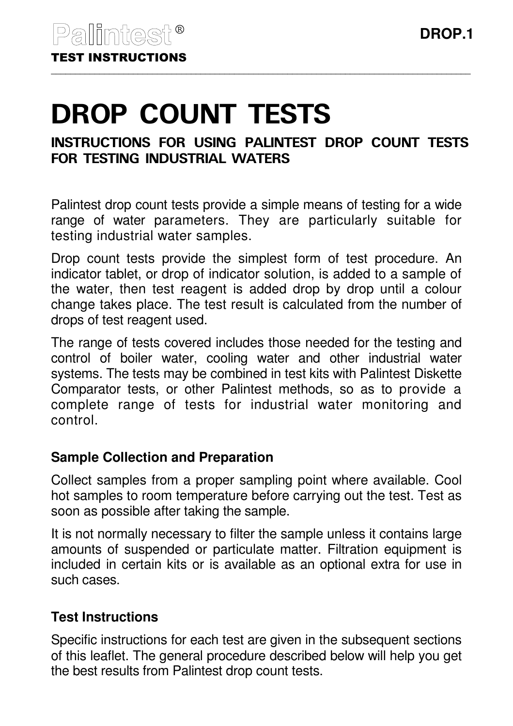# DROP COUNT TESTS

# INSTRUCTIONS FOR USING PALINTEST DROP COUNT TESTS FOR TESTING INDUSTRIAL WATERS

Palintest drop count tests provide a simple means of testing for a wide range of water parameters. They are particularly suitable for testing industrial water samples.

Drop count tests provide the simplest form of test procedure. An indicator tablet, or drop of indicator solution, is added to a sample of the water, then test reagent is added drop by drop until a colour change takes place. The test result is calculated from the number of drops of test reagent used.

The range of tests covered includes those needed for the testing and control of boiler water, cooling water and other industrial water systems. The tests may be combined in test kits with Palintest Diskette Comparator tests, or other Palintest methods, so as to provide a complete range of tests for industrial water monitoring and control.

# **Sample Collection and Preparation**

Collect samples from a proper sampling point where available. Cool hot samples to room temperature before carrying out the test. Test as soon as possible after taking the sample.

It is not normally necessary to filter the sample unless it contains large amounts of suspended or particulate matter. Filtration equipment is included in certain kits or is available as an optional extra for use in such cases.

# **Test Instructions**

Specific instructions for each test are given in the subsequent sections of this leaflet. The general procedure described below will help you get the best results from Palintest drop count tests.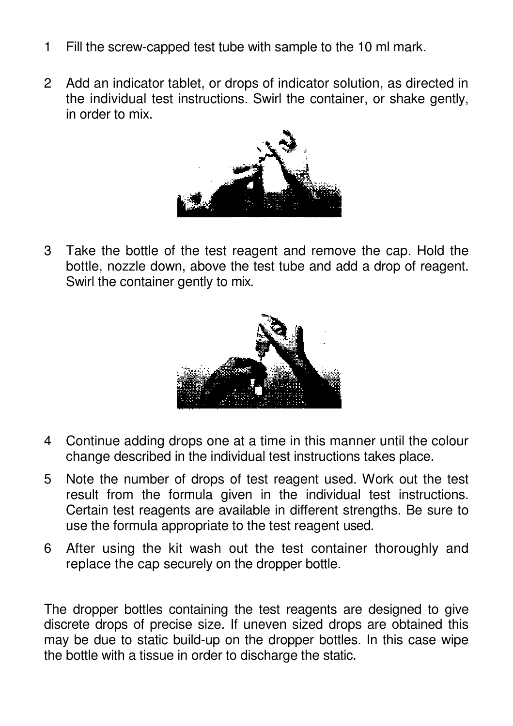- 1 Fill the screw-capped test tube with sample to the 10 ml mark.
- 2 Add an indicator tablet, or drops of indicator solution, as directed in the individual test instructions. Swirl the container, or shake gently, in order to mix.



3 Take the bottle of the test reagent and remove the cap. Hold the bottle, nozzle down, above the test tube and add a drop of reagent. Swirl the container gently to mix.



- 4 Continue adding drops one at a time in this manner until the colour change described in the individual test instructions takes place.
- 5 Note the number of drops of test reagent used. Work out the test result from the formula given in the individual test instructions. Certain test reagents are available in different strengths. Be sure to use the formula appropriate to the test reagent used.
- 6 After using the kit wash out the test container thoroughly and replace the cap securely on the dropper bottle.

The dropper bottles containing the test reagents are designed to give discrete drops of precise size. If uneven sized drops are obtained this may be due to static build-up on the dropper bottles. In this case wipe the bottle with a tissue in order to discharge the static.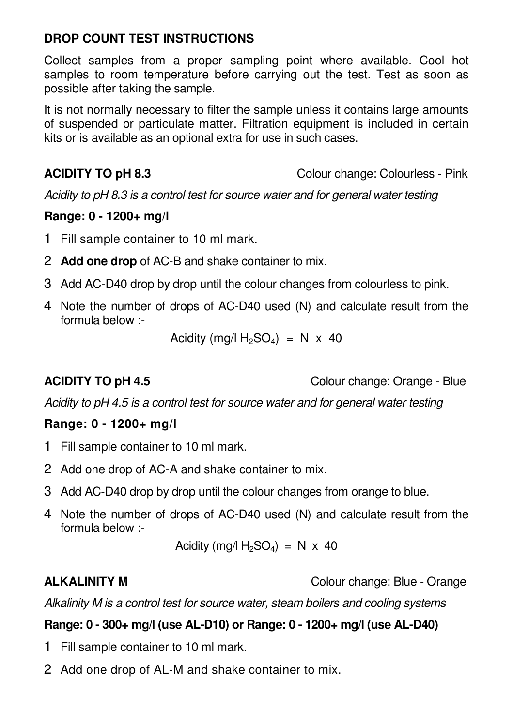# **DROP COUNT TEST INSTRUCTIONS**

Collect samples from a proper sampling point where available. Cool hot samples to room temperature before carrying out the test. Test as soon as possible after taking the sample.

It is not normally necessary to filter the sample unless it contains large amounts of suspended or particulate matter. Filtration equipment is included in certain kits or is available as an optional extra for use in such cases.

**ACIDITY TO pH 8.3** Colour change: Colourless - Pink

Acidity to pH 8.3 is a control test for source water and for general water testing

### **Range: 0 - 1200+ mg/l**

- 1 Fill sample container to 10 ml mark.
- 2 **Add one drop** of AC-B and shake container to mix.
- 3 Add AC-D40 drop by drop until the colour changes from colourless to pink.
- 4 Note the number of drops of AC-D40 used (N) and calculate result from the formula below :-

Acidity (mg/l  $H_2SO_4$ ) = N x 40

**ACIDITY TO pH 4.5** Colour change: Orange - Blue

Acidity to pH 4.5 is a control test for source water and for general water testing

### **Range: 0 - 1200+ mg/l**

- 1 Fill sample container to 10 ml mark.
- 2 Add one drop of AC-A and shake container to mix.
- 3 Add AC-D40 drop by drop until the colour changes from orange to blue.
- 4 Note the number of drops of AC-D40 used (N) and calculate result from the formula below :-

Acidity (mg/l  $H_2SO_4$ ) = N x 40

**ALKALINITY M Colour change: Blue - Orange:** Blue - Orange

Alkalinity M is a control test for source water, steam boilers and cooling systems

# **Range: 0 - 300+ mg/l (use AL-D10) or Range: 0 - 1200+ mg/l (use AL-D40)**

- 1 Fill sample container to 10 ml mark.
- 2 Add one drop of AL-M and shake container to mix.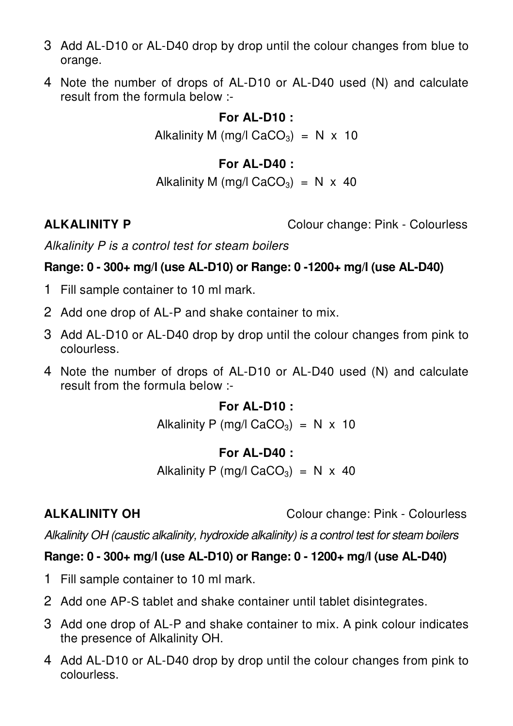- 3 Add AL-D10 or AL-D40 drop by drop until the colour changes from blue to orange.
- 4 Note the number of drops of AL-D10 or AL-D40 used (N) and calculate result from the formula below :-

# **For AL-D10 :**

Alkalinity M (mg/l CaCO<sub>3</sub>) = N  $\times$  10

# **For AL-D40 :**

Alkalinity M (mg/l CaCO<sub>3</sub>) = N  $\times$  40

**ALKALINITY P** Colour change: Pink - Colourless

Alkalinity P is a control test for steam boilers

# **Range: 0 - 300+ mg/l (use AL-D10) or Range: 0 -1200+ mg/l (use AL-D40)**

- 1 Fill sample container to 10 ml mark.
- 2 Add one drop of AL-P and shake container to mix.
- 3 Add AL-D10 or AL-D40 drop by drop until the colour changes from pink to colourless.
- 4 Note the number of drops of AL-D10 or AL-D40 used (N) and calculate result from the formula below :-

### **For AL-D10 :**

Alkalinity P (mg/l CaCO<sub>3</sub>) = N  $\times$  10

### **For AL-D40 :**

Alkalinity P (mg/l CaCO<sub>3</sub>) = N  $\times$  40

**ALKALINITY OH** Colour change: Pink - Colourless

Alkalinity OH (caustic alkalinity, hydroxide alkalinity) is a control test for steam boilers

### **Range: 0 - 300+ mg/l (use AL-D10) or Range: 0 - 1200+ mg/l (use AL-D40)**

- 1 Fill sample container to 10 ml mark.
- 2 Add one AP-S tablet and shake container until tablet disintegrates.
- 3 Add one drop of AL-P and shake container to mix. A pink colour indicates the presence of Alkalinity OH.
- 4 Add AL-D10 or AL-D40 drop by drop until the colour changes from pink to colourless.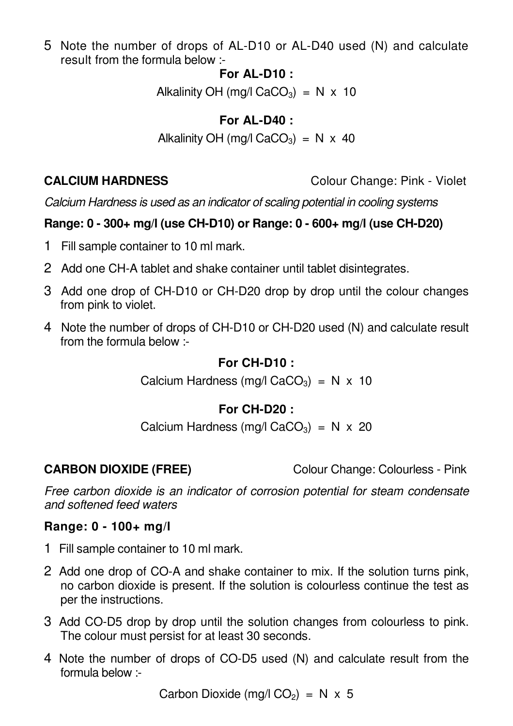5 Note the number of drops of AL-D10 or AL-D40 used (N) and calculate result from the formula below :-

### **For AL-D10 :**

Alkalinity OH (mg/l CaCO<sub>3</sub>) = N  $\times$  10

# **For AL-D40 :**

Alkalinity OH (mg/l CaCO<sub>3</sub>) = N  $\times$  40

**CALCIUM HARDNESS** Colour Change: Pink - Violet

Calcium Hardness is used as an indicator of scaling potential in cooling systems

## **Range: 0 - 300+ mg/l (use CH-D10) or Range: 0 - 600+ mg/l (use CH-D20)**

- 1 Fill sample container to 10 ml mark.
- 2 Add one CH-A tablet and shake container until tablet disintegrates.
- 3 Add one drop of CH-D10 or CH-D20 drop by drop until the colour changes from pink to violet.
- 4 Note the number of drops of CH-D10 or CH-D20 used (N) and calculate result from the formula below :-

### **For CH-D10 :**

Calcium Hardness (mg/l CaCO<sub>3</sub>) = N  $\times$  10

# **For CH-D20 :**

Calcium Hardness (mg/l CaCO<sub>3</sub>) = N  $\times$  20

**CARBON DIOXIDE (FREE)** Colour Change: Colourless - Pink

Free carbon dioxide is an indicator of corrosion potential for steam condensate and softened feed waters

### **Range: 0 - 100+ mg/l**

- 1 Fill sample container to 10 ml mark.
- 2 Add one drop of CO-A and shake container to mix. If the solution turns pink, no carbon dioxide is present. If the solution is colourless continue the test as per the instructions.
- 3 Add CO-D5 drop by drop until the solution changes from colourless to pink. The colour must persist for at least 30 seconds.
- 4 Note the number of drops of CO-D5 used (N) and calculate result from the formula below :-

Carbon Dioxide (mg/l  $CO<sub>2</sub>$ ) = N x 5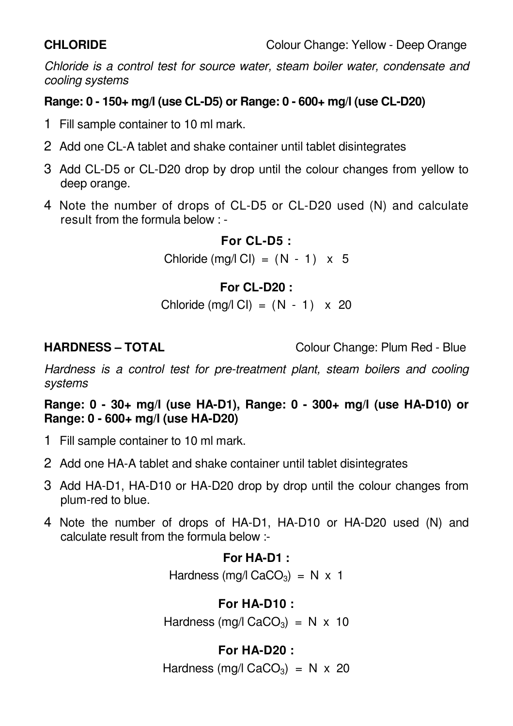Chloride is a control test for source water, steam boiler water, condensate and cooling systems

# **Range: 0 - 150+ mg/l (use CL-D5) or Range: 0 - 600+ mg/l (use CL-D20)**

- 1 Fill sample container to 10 ml mark.
- 2 Add one CL-A tablet and shake container until tablet disintegrates
- 3 Add CL-D5 or CL-D20 drop by drop until the colour changes from yellow to deep orange.
- 4 Note the number of drops of CL-D5 or CL-D20 used (N) and calculate result from the formula below : -

## **For CL-D5 :**

Chloride  $(mg/l \text{ Cl}) = (N - 1) \times 5$ 

# **For CL-D20 :**

Chloride (mg/l Cl) =  $(N - 1) \times 20$ 

**HARDNESS – TOTAL** Colour Change: Plum Red - Blue

Hardness is a control test for pre-treatment plant, steam boilers and cooling systems

**Range: 0 - 30+ mg/l (use HA-D1), Range: 0 - 300+ mg/l (use HA-D10) or Range: 0 - 600+ mg/l (use HA-D20)** 

- 1 Fill sample container to 10 ml mark.
- 2 Add one HA-A tablet and shake container until tablet disintegrates
- 3 Add HA-D1, HA-D10 or HA-D20 drop by drop until the colour changes from plum-red to blue.
- 4 Note the number of drops of HA-D1, HA-D10 or HA-D20 used (N) and calculate result from the formula below :-

# **For HA-D1 :**

Hardness (mg/l CaCO<sub>3</sub>) = N  $\times$  1

# **For HA-D10 :**

Hardness (mg/l CaCO<sub>3</sub>) = N  $\times$  10

# **For HA-D20 :**

Hardness (mg/l CaCO<sub>3</sub>) = N  $\times$  20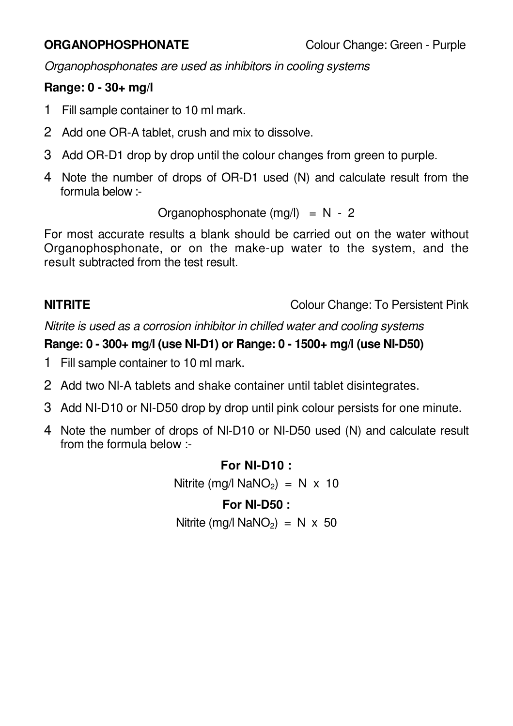Organophosphonates are used as inhibitors in cooling systems

# **Range: 0 - 30+ mg/l**

- 1 Fill sample container to 10 ml mark.
- 2 Add one OR-A tablet, crush and mix to dissolve.
- 3 Add OR-D1 drop by drop until the colour changes from green to purple.
- 4 Note the number of drops of OR-D1 used (N) and calculate result from the formula below :-

Organophosphonate  $(mq)$  = N - 2

For most accurate results a blank should be carried out on the water without Organophosphonate, or on the make-up water to the system, and the result subtracted from the test result.

**NITRITE** Colour Change: To Persistent Pink

Nitrite is used as a corrosion inhibitor in chilled water and cooling systems

# **Range: 0 - 300+ mg/l (use NI-D1) or Range: 0 - 1500+ mg/l (use NI-D50)**

- 1 Fill sample container to 10 ml mark.
- 2 Add two Nl-A tablets and shake container until tablet disintegrates.
- 3 Add NI-D10 or NI-D50 drop by drop until pink colour persists for one minute.
- 4 Note the number of drops of NI-D10 or NI-D50 used (N) and calculate result from the formula below :-

### **For NI-D10 :**

Nitrite (mg/l NaNO<sub>2</sub>) = N  $\times$  10

# **For NI-D50 :**

Nitrite (mg/l NaNO<sub>2</sub>) = N  $\times$  50